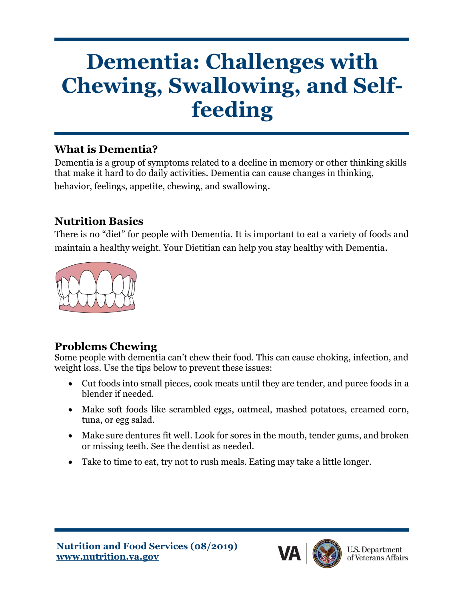# **Dementia: Challenges with Chewing, Swallowing, and Selffeeding**

## **What is Dementia?**

Dementia is a group of symptoms related to a decline in memory or other thinking skills that make it hard to do daily activities. Dementia can cause changes in thinking, behavior, feelings, appetite, chewing, and swallowing.

## **Nutrition Basics**

There is no "diet" for people with Dementia. It is important to eat a variety of foods and maintain a healthy weight. Your Dietitian can help you stay healthy with Dementia.



## **Problems Chewing**

Some people with dementia can't chew their food. This can cause choking, infection, and weight loss. Use the tips below to prevent these issues:

- Cut foods into small pieces, cook meats until they are tender, and puree foods in a blender if needed.
- Make soft foods like scrambled eggs, oatmeal, mashed potatoes, creamed corn, tuna, or egg salad.
- Make sure dentures fit well. Look for sores in the mouth, tender gums, and broken or missing teeth. See the dentist as needed.
- Take to time to eat, try not to rush meals. Eating may take a little longer.

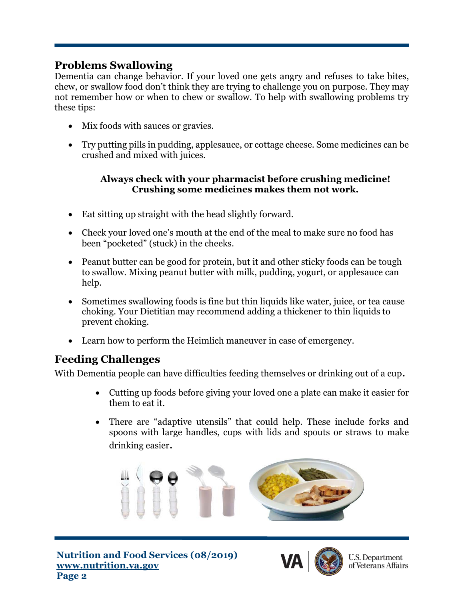### **Problems Swallowing**

Dementia can change behavior. If your loved one gets angry and refuses to take bites, chew, or swallow food don't think they are trying to challenge you on purpose. They may not remember how or when to chew or swallow. To help with swallowing problems try these tips:

- Mix foods with sauces or gravies.
- Try putting pills in pudding, applesauce, or cottage cheese. Some medicines can be crushed and mixed with juices.

#### **Always check with your pharmacist before crushing medicine! Crushing some medicines makes them not work.**

- Eat sitting up straight with the head slightly forward.
- Check your loved one's mouth at the end of the meal to make sure no food has been "pocketed" (stuck) in the cheeks.
- Peanut butter can be good for protein, but it and other sticky foods can be tough to swallow. Mixing peanut butter with milk, pudding, yogurt, or applesauce can help.
- Sometimes swallowing foods is fine but thin liquids like water, juice, or tea cause choking. Your Dietitian may recommend adding a thickener to thin liquids to prevent choking.
- Learn how to perform the Heimlich maneuver in case of emergency.

## **Feeding Challenges**

With Dementia people can have difficulties feeding themselves or drinking out of a cup.

- Cutting up foods before giving your loved one a plate can make it easier for them to eat it.
- There are "adaptive utensils" that could help. These include forks and spoons with large handles, cups with lids and spouts or straws to make drinking easier.





**U.S. Department** of Veterans Affairs